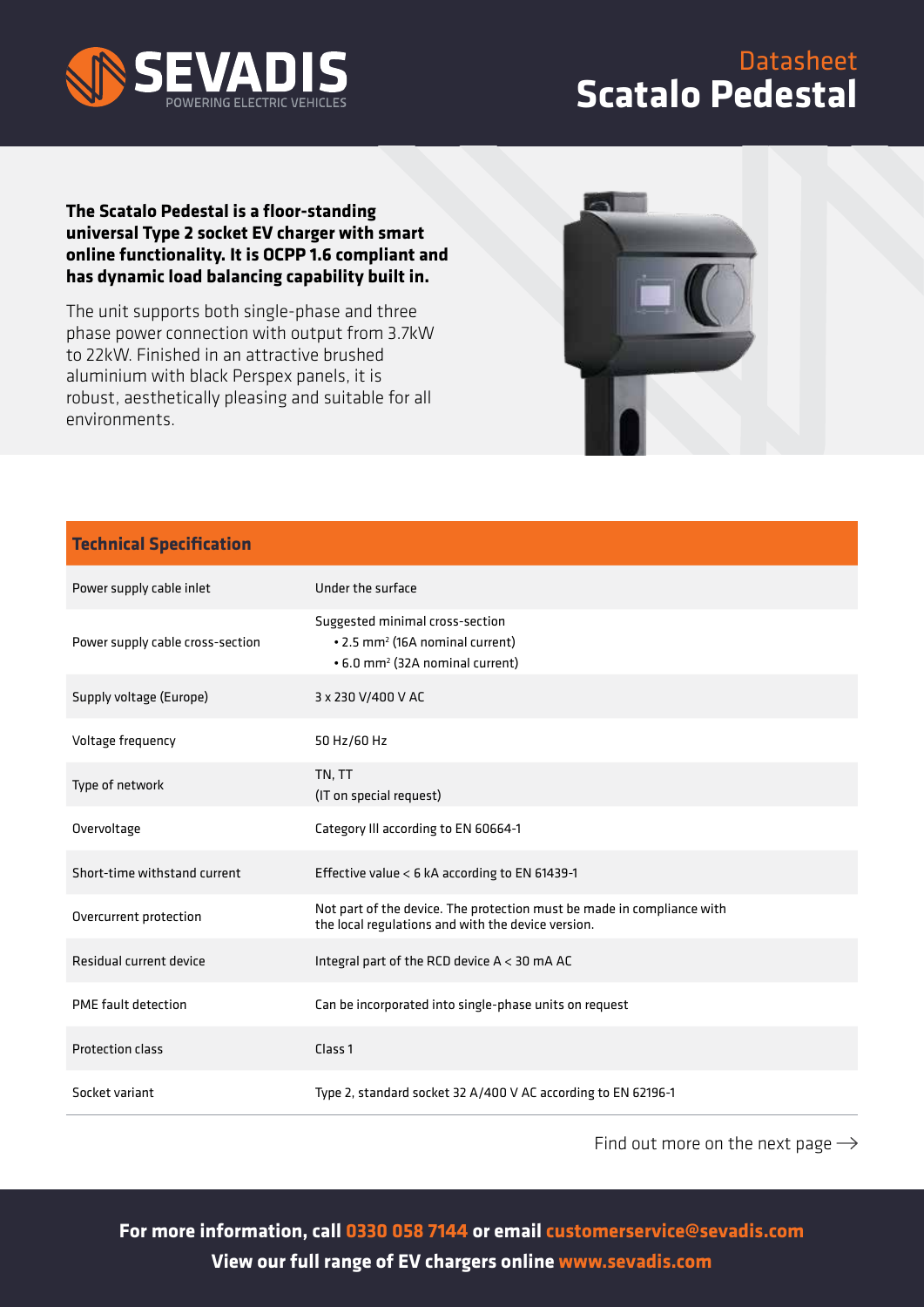

## Datasheet **Scatalo Pedestal**

## **The Scatalo Pedestal is a floor-standing universal Type 2 socket EV charger with smart online functionality. It is OCPP 1.6 compliant and has dynamic load balancing capability built in.**

The unit supports both single-phase and three phase power connection with output from 3.7kW to 22kW. Finished in an attractive brushed aluminium with black Perspex panels, it is robust, aesthetically pleasing and suitable for all environments.



## **Technical Specification**

| Power supply cable inlet         | Under the surface                                                                                                             |
|----------------------------------|-------------------------------------------------------------------------------------------------------------------------------|
| Power supply cable cross-section | Suggested minimal cross-section<br>• 2.5 mm <sup>2</sup> (16A nominal current)<br>• 6.0 mm <sup>2</sup> (32A nominal current) |
| Supply voltage (Europe)          | 3 x 230 V/400 V AC                                                                                                            |
| Voltage frequency                | 50 Hz/60 Hz                                                                                                                   |
| Type of network                  | TN, TT<br>(IT on special request)                                                                                             |
| Overvoltage                      | Category Ill according to EN 60664-1                                                                                          |
| Short-time withstand current     | Effective value < 6 kA according to EN 61439-1                                                                                |
| Overcurrent protection           | Not part of the device. The protection must be made in compliance with<br>the local regulations and with the device version.  |
| Residual current device          | Integral part of the RCD device $A < 30$ mA AC                                                                                |
| PME fault detection              | Can be incorporated into single-phase units on request                                                                        |
| <b>Protection class</b>          | Class <sub>1</sub>                                                                                                            |
| Socket variant                   | Type 2, standard socket 32 A/400 V AC according to EN 62196-1                                                                 |

Find out more on the next page  $\rightarrow$ 

**For more information, call 0330 058 7144 or email customerservice@sevadis.com View our full range of EV chargers online www.sevadis.com**